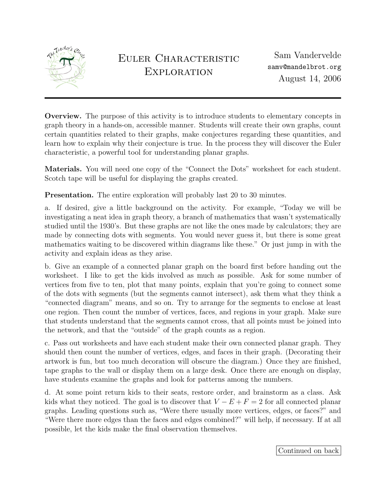

Overview. The purpose of this activity is to introduce students to elementary concepts in graph theory in a hands-on, accessible manner. Students will create their own graphs, count certain quantities related to their graphs, make conjectures regarding these quantities, and learn how to explain why their conjecture is true. In the process they will discover the Euler characteristic, a powerful tool for understanding planar graphs.

Materials. You will need one copy of the "Connect the Dots" worksheet for each student. Scotch tape will be useful for displaying the graphs created.

Presentation. The entire exploration will probably last 20 to 30 minutes.

a. If desired, give a little background on the activity. For example, "Today we will be investigating a neat idea in graph theory, a branch of mathematics that wasn't systematically studied until the 1930's. But these graphs are not like the ones made by calculators; they are made by connecting dots with segments. You would never guess it, but there is some great mathematics waiting to be discovered within diagrams like these." Or just jump in with the activity and explain ideas as they arise.

b. Give an example of a connected planar graph on the board first before handing out the worksheet. I like to get the kids involved as much as possible. Ask for some number of vertices from five to ten, plot that many points, explain that you're going to connect some of the dots with segments (but the segments cannot intersect), ask them what they think a "connected diagram" means, and so on. Try to arrange for the segments to enclose at least one region. Then count the number of vertices, faces, and regions in your graph. Make sure that students understand that the segments cannot cross, that all points must be joined into the network, and that the "outside" of the graph counts as a region.

c. Pass out worksheets and have each student make their own connected planar graph. They should then count the number of vertices, edges, and faces in their graph. (Decorating their artwork is fun, but too much decoration will obscure the diagram.) Once they are finished, tape graphs to the wall or display them on a large desk. Once there are enough on display, have students examine the graphs and look for patterns among the numbers.

d. At some point return kids to their seats, restore order, and brainstorm as a class. Ask kids what they noticed. The goal is to discover that  $V - E + F = 2$  for all connected planar graphs. Leading questions such as, "Were there usually more vertices, edges, or faces?" and "Were there more edges than the faces and edges combined?" will help, if necessary. If at all possible, let the kids make the final observation themselves.

Continued on back